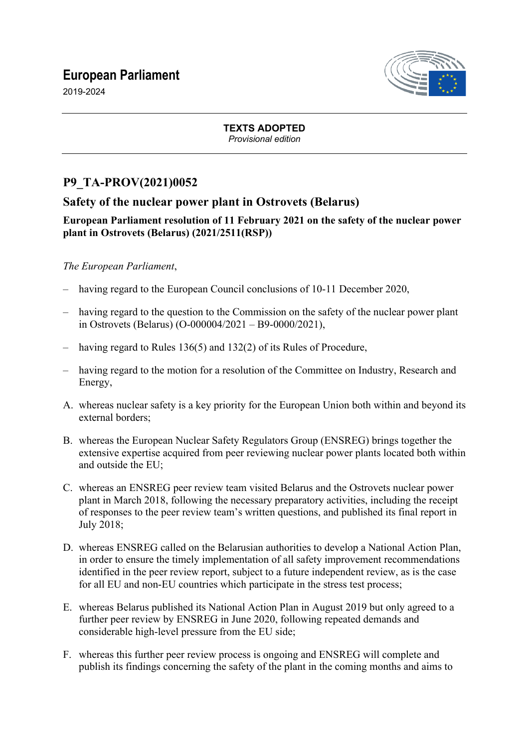# **European Parliament**



2019-2024

#### **TEXTS ADOPTED** *Provisional edition*

# **P9\_TA-PROV(2021)0052**

## **Safety of the nuclear power plant in Ostrovets (Belarus)**

### **European Parliament resolution of 11 February 2021 on the safety of the nuclear power plant in Ostrovets (Belarus) (2021/2511(RSP))**

## *The European Parliament*,

- having regard to the European Council conclusions of 10-11 December 2020,
- having regard to the question to the Commission on the safety of the nuclear power plant in Ostrovets (Belarus) (O-000004/2021 – B9-0000/2021),
- having regard to Rules 136(5) and 132(2) of its Rules of Procedure,
- having regard to the motion for a resolution of the Committee on Industry, Research and Energy,
- A. whereas nuclear safety is a key priority for the European Union both within and beyond its external borders;
- B. whereas the European Nuclear Safety Regulators Group (ENSREG) brings together the extensive expertise acquired from peer reviewing nuclear power plants located both within and outside the EU;
- C. whereas an ENSREG peer review team visited Belarus and the Ostrovets nuclear power plant in March 2018, following the necessary preparatory activities, including the receipt of responses to the peer review team's written questions, and published its final report in July 2018;
- D. whereas ENSREG called on the Belarusian authorities to develop a National Action Plan, in order to ensure the timely implementation of all safety improvement recommendations identified in the peer review report, subject to a future independent review, as is the case for all EU and non-EU countries which participate in the stress test process;
- E. whereas Belarus published its National Action Plan in August 2019 but only agreed to a further peer review by ENSREG in June 2020, following repeated demands and considerable high-level pressure from the EU side;
- F. whereas this further peer review process is ongoing and ENSREG will complete and publish its findings concerning the safety of the plant in the coming months and aims to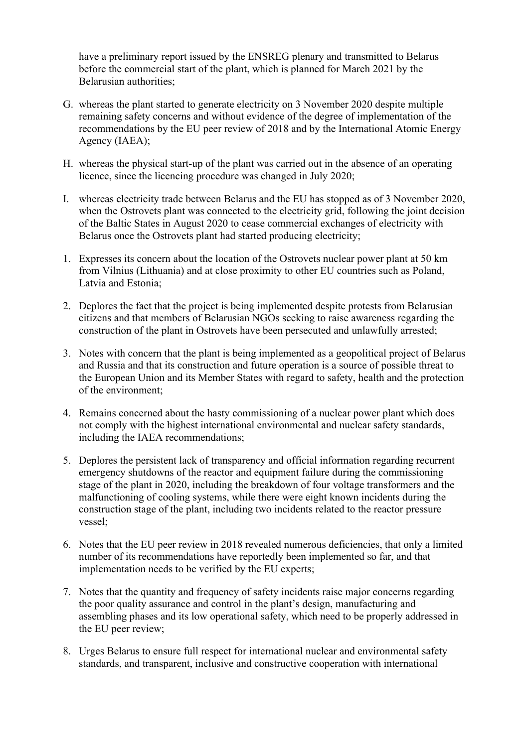have a preliminary report issued by the ENSREG plenary and transmitted to Belarus before the commercial start of the plant, which is planned for March 2021 by the Belarusian authorities;

- G. whereas the plant started to generate electricity on 3 November 2020 despite multiple remaining safety concerns and without evidence of the degree of implementation of the recommendations by the EU peer review of 2018 and by the International Atomic Energy Agency (IAEA);
- H. whereas the physical start-up of the plant was carried out in the absence of an operating licence, since the licencing procedure was changed in July 2020;
- I. whereas electricity trade between Belarus and the EU has stopped as of 3 November 2020, when the Ostrovets plant was connected to the electricity grid, following the joint decision of the Baltic States in August 2020 to cease commercial exchanges of electricity with Belarus once the Ostrovets plant had started producing electricity;
- 1. Expresses its concern about the location of the Ostrovets nuclear power plant at 50 km from Vilnius (Lithuania) and at close proximity to other EU countries such as Poland, Latvia and Estonia;
- 2. Deplores the fact that the project is being implemented despite protests from Belarusian citizens and that members of Belarusian NGOs seeking to raise awareness regarding the construction of the plant in Ostrovets have been persecuted and unlawfully arrested;
- 3. Notes with concern that the plant is being implemented as a geopolitical project of Belarus and Russia and that its construction and future operation is a source of possible threat to the European Union and its Member States with regard to safety, health and the protection of the environment;
- 4. Remains concerned about the hasty commissioning of a nuclear power plant which does not comply with the highest international environmental and nuclear safety standards, including the IAEA recommendations;
- 5. Deplores the persistent lack of transparency and official information regarding recurrent emergency shutdowns of the reactor and equipment failure during the commissioning stage of the plant in 2020, including the breakdown of four voltage transformers and the malfunctioning of cooling systems, while there were eight known incidents during the construction stage of the plant, including two incidents related to the reactor pressure vessel;
- 6. Notes that the EU peer review in 2018 revealed numerous deficiencies, that only a limited number of its recommendations have reportedly been implemented so far, and that implementation needs to be verified by the EU experts;
- 7. Notes that the quantity and frequency of safety incidents raise major concerns regarding the poor quality assurance and control in the plant's design, manufacturing and assembling phases and its low operational safety, which need to be properly addressed in the EU peer review;
- 8. Urges Belarus to ensure full respect for international nuclear and environmental safety standards, and transparent, inclusive and constructive cooperation with international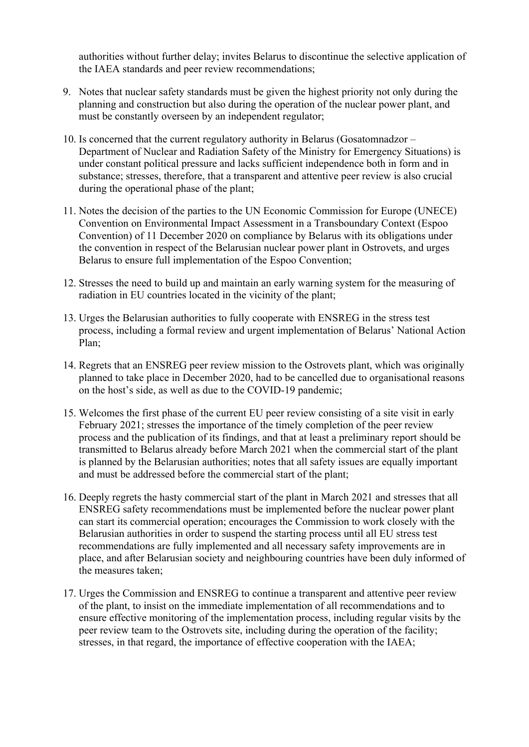authorities without further delay; invites Belarus to discontinue the selective application of the IAEA standards and peer review recommendations;

- 9. Notes that nuclear safety standards must be given the highest priority not only during the planning and construction but also during the operation of the nuclear power plant, and must be constantly overseen by an independent regulator;
- 10. Is concerned that the current regulatory authority in Belarus (Gosatomnadzor Department of Nuclear and Radiation Safety of the Ministry for Emergency Situations) is under constant political pressure and lacks sufficient independence both in form and in substance; stresses, therefore, that a transparent and attentive peer review is also crucial during the operational phase of the plant;
- 11. Notes the decision of the parties to the UN Economic Commission for Europe (UNECE) Convention on Environmental Impact Assessment in a Transboundary Context (Espoo Convention) of 11 December 2020 on compliance by Belarus with its obligations under the convention in respect of the Belarusian nuclear power plant in Ostrovets, and urges Belarus to ensure full implementation of the Espoo Convention;
- 12. Stresses the need to build up and maintain an early warning system for the measuring of radiation in EU countries located in the vicinity of the plant;
- 13. Urges the Belarusian authorities to fully cooperate with ENSREG in the stress test process, including a formal review and urgent implementation of Belarus' National Action Plan;
- 14. Regrets that an ENSREG peer review mission to the Ostrovets plant, which was originally planned to take place in December 2020, had to be cancelled due to organisational reasons on the host's side, as well as due to the COVID-19 pandemic;
- 15. Welcomes the first phase of the current EU peer review consisting of a site visit in early February 2021; stresses the importance of the timely completion of the peer review process and the publication of its findings, and that at least a preliminary report should be transmitted to Belarus already before March 2021 when the commercial start of the plant is planned by the Belarusian authorities; notes that all safety issues are equally important and must be addressed before the commercial start of the plant;
- 16. Deeply regrets the hasty commercial start of the plant in March 2021 and stresses that all ENSREG safety recommendations must be implemented before the nuclear power plant can start its commercial operation; encourages the Commission to work closely with the Belarusian authorities in order to suspend the starting process until all EU stress test recommendations are fully implemented and all necessary safety improvements are in place, and after Belarusian society and neighbouring countries have been duly informed of the measures taken;
- 17. Urges the Commission and ENSREG to continue a transparent and attentive peer review of the plant, to insist on the immediate implementation of all recommendations and to ensure effective monitoring of the implementation process, including regular visits by the peer review team to the Ostrovets site, including during the operation of the facility; stresses, in that regard, the importance of effective cooperation with the IAEA;